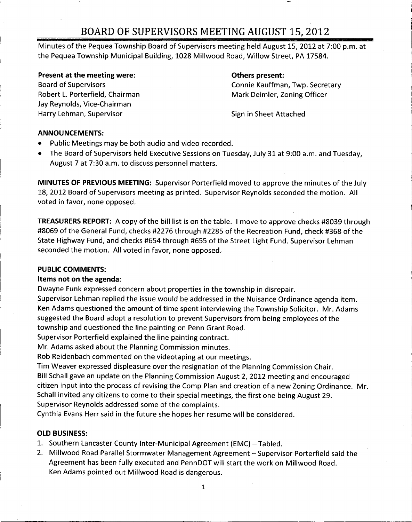## BOARD OF SUPERVISORS MEETING AUGUST 15 2012

Minutes of the Pequea Township Board of Supervisors meeting held August 15, 2012 at 7:00 p.m. at the Pequea Township Municipal Building, 1028 Millwood Road, Willow Street, PA 17584.

## Present at the meeting were: The Communication of the Others present:

Robert L. Porterfield, Chairman Mark Deimler, Zoning Officer Jay Reynolds, Vice-Chairman Harry Lehman, Supervisor Supervisor Sign in Sheet Attached

Board of Supervisors **Connie Kauffman, Twp. Secretary** 

m

## ANNOUNCEMENTS

- Public Meetings may be both audio and video recorded  $\bullet$
- The Board of Supervisors held Executive Sessions on Tuesday, July 31 at 9:00 a.m. and Tuesday, August 7 at 7:30 a.m. to discuss personnel matters.

MINUTES OF PREVIOUS MEETING: Supervisor Porterfield moved to approve the minutes of the July 18, 2012 Board of Supervisors meeting as printed. Supervisor Reynolds seconded the motion. All voted in favor, none opposed.

**TREASURERS REPORT:** A copy of the bill list is on the table. I move to approve checks #8039 through #8069 of the General Fund, checks #2276 through #2285 of the Recreation Fund, check #368 of the State Highway Fund, and checks #654 through #655 of the Street Light Fund. Supervisor Lehman seconded the motion. All voted in favor, none opposed.

## PUBLIC COMMENTS

## Items not on the agenda

Dwayne Funk expressed concern about properties in the township in disrepair

Supervisor Lehman replied the issue would be addressed in the Nuisance Ordinance agenda item Ken Adams questioned the amount of time spent interviewing the Township Solicitor. Mr. Adams suggested the Board adopt <sup>a</sup> resolution to prevent Supervisors from being employees of the township and questioned the line painting on Penn Grant Road

Supervisor Porterfield explained the line painting contract

Mr. Adams asked about the Planning Commission minutes.

Rob Reidenbach commented on the videotaping at our meetings

Tim Weaver expressed displeasure over the resignation of the Planning Commission Chair Bill Schall gave an update on the Planning Commission August 2, 2012 meeting and encouraged citizen input into the process of revising the Comp Plan and creation of a new Zoning Ordinance. Mr. Schall invited any citizens to come to their special meetings, the first one being August 29. Supervisor Reynolds addressed some of the complaints

Cynthia Evans Herr said in the future she hopes her resume will be considered

## OLD BUSINESS

- 1. Southern Lancaster County Inter-Municipal Agreement (EMC) Tabled.
- 2. Millwood Road Parallel Stormwater Management Agreement Supervisor Porterfield said the Agreement has been fully executed and PennDOT will start the work on Millwood Road Ken Adams pointed out Millwood Road is dangerous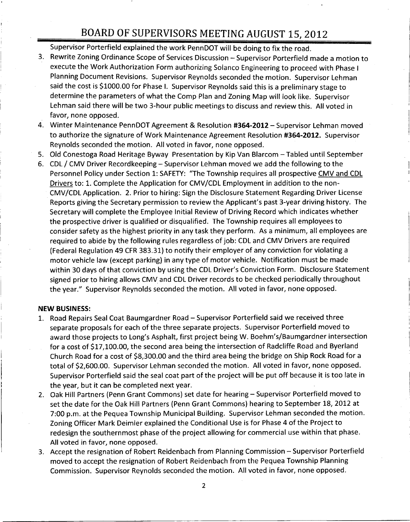# BOARD OF SUPERVISORS MEETING AUGUST 15, 2012

Supervisor Porterfield explained the work PennDOT will be doing to fix the road

- 3. Rewrite Zoning Ordinance Scope of Services Discussion Supervisor Porterfield made a motion to execute the Work Authorization Form authorizing Solanco Engineering to proceed with Phase <sup>I</sup> Planning Document Revisions. Supervisor Reynolds seconded the motion. Supervisor Lehman Planning Document Revisions. Supervisor Reynolds seconded the motion. Supervisor Lehr<br>said the cost is \$1000.00 for Phase I. Supervisor Reynolds said this is a preliminary stage to<br>determine the parameters of what the Comp determine the parameters of what the Comp Plan and Zoning Map will look like. Supervisor Lehman said there will be two 3-hour public meetings to discuss and review this. All voted in favor, none opposed.
- 4. Winter Maintenance PennDOT Agreement & Resolution #364-2012 Supervisor Lehman moved to authorize the signature of Work Maintenance Agreement Resolution #364-2012. Supervisor Reynolds seconded the motion. All voted in favor, none opposed.
- 5 Old Conestoga Road Heritage Byway Presentation by Kip Van Blarcom Tabled until September
- 6. CDL / CMV Driver Recordkeeping Supervisor Lehman moved we add the following to the Personnel Policy under Section 1: SAFETY: "The Township requires all prospective <u>CMV and CDL</u> Drivers to: 1. Complete the Application for CMV/CDL Employment in addition to the non-CMV/CDL Application. 2. Prior to hiring: Sign the Disclosure Statement Regarding Driver License Old Conestoga Road Heritage Byway Presentation by Kip Van Blarcom – Tabled until September<br>CDL / CMV Driver Recordkeeping – Supervisor Lehman moved we add the following to the<br>Personnel Policy under Section 1: SAFETY: "The Secretary will complete the Employee Initial Review of Driving Record which indicates whether the prospective driver is qualified or disqualified. The Township requires all employees to consider safety as the highest priority in any task they perform. As a minimum, all employees are required to abide by the following rules regardless of job CDL and CMV Drivers are required (Federal Regulation 49 CFR 383.31) to notify their employer of any conviction for violating a motor vehicle law (except parking) in any type of motor vehicle. Notification must be made<br>within 30 days of that conviction by using the CDL Driver's Conviction Form. Disclosure Statement required to abide by the following rules regardless of job: CDL and CMV Drivers are required<br>(Federal Regulation 49 CFR 383.31) to notify their employer of any conviction for violating a<br>motor vehicle law (except parking) the year." Supervisor Reynolds seconded the motion. All voted in favor, none opposed.

#### NEW BUSINESS

- 1. Road Repairs Seal Coat Baumgardner Road Supervisor Porterfield said we received three separate proposals for each of the three separate projects. Supervisor Porterfield moved to **V BUSINESS:**<br>Road Repairs Seal Coat Baumgardner Road – Supervisor Porterfield said we received three<br>separate proposals for each of the three separate projects. Supervisor Porterfield moved to<br>award those projects to Long separate proposals for each of the three separate projects. Supervisor Porterfield moved to<br>award those projects to Long's Asphalt, first project being W. Boehm's/Baumgardner intersect<br>for a cost of \$17,100.00, the second Road Repairs Seal Coat Baumgardner Road – Supervisor Porterfield said we received three<br>separate proposals for each of the three separate projects. Supervisor Porterfield moved to<br>award those projects to Long's Asphalt, fi separate proposals for each of the three separate projects. Supervisor Porterfield moved to award those projects to Long's Asphalt, first project being W. Boehm's/Baumgardner intersection of a cost of \$17,100.00, the secon Supervisor Porterfield said the seal coat part of the project will be put off because it is too late in the year, but it can be completed next year.
- 2. Oak Hill Partners (Penn Grant Commons) set date for hearing Supervisor Porterfield moved to set the date for the Oak Hill Partners (Penn Grant Commons) hearing to September 18, 2012 at 7:00 p.m. at the Pequea Township Municipal Building. Supervisor Lehman seconded the motion. Zoning Officer Mark Deimler explained the Conditional Use is for Phase 4 of the Project to redesign the southernmost phase of the project allowing for commercial use within that phase All voted in favor, none opposed.
- 3. Accept the resignation of Robert Reidenbach from Planning Commission Supervisor Porterfield moved to accept the resignation of Robert Reidenbach from the Pequea Township Planning Commission. Supervisor Reynolds seconded the motion. All voted in favor, none opposed.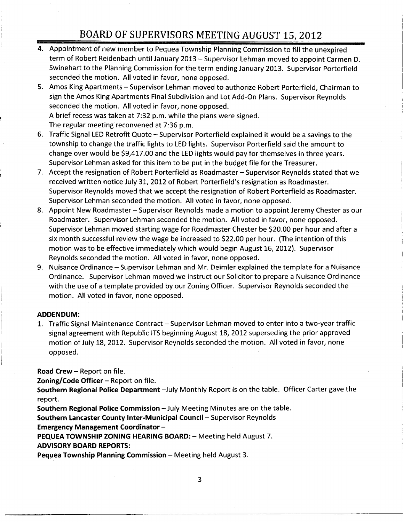## BOARD OF SUPERVISORS MEETING AUGUST 15 2012

- 4 Appointment of new member to Pequea Township Planning Commission to fill the unexpired term of Robert Reidenbach until January 2013 - Supervisor Lehman moved to appoint Carmen D. Swinehart to the Planning Commission for the term ending January 2013. Supervisor Porterfield seconded the motion. All voted in favor, none opposed.
- 5. Amos King Apartments Supervisor Lehman moved to authorize Robert Porterfield, Chairman to sign the Amos King Apartments Final Subdivision and Lot Add-On Plans. Supervisor Reynolds seconded the motion. All voted in favor, none opposed. seconded the motion. All voted in favor, none opposed.<br>A brief recess was taken at 7:32 p.m. while the plans were signed.<br>The requier meating reconvened at 7:26 p.m. A brief recess was taken at 7:32 p.m. while the<br>The regular meeting reconvened at 7:36 p.m.<br>Treffic Signal LED Petrefit Quate - Sunamics:
- 6. Traffic Signal LED Retrofit Quote Supervisor Porterfield explained it would be a savings to the township to change the traffic lights to LED lights. Supervisor Porterfield said the amount to A brief recess was taken at 7:32 p.m. while the plans were signed.<br>The regular meeting reconvened at 7:36 p.m.<br>Traffic Signal LED Retrofit Quote – Supervisor Porterfield explained it would be a savings to t<br>township to cha Supervisor Lehman asked for this item to be put in the budget file for the Treasurer Traffic Signal LED Retrofit Quote – Supervisor Porterfield explained it would be a saving<br>Traffic Signal LED Retrofit Quote – Supervisor Porterfield explained it would be a saving<br>township to change the traffic lights to L
- 7. Accept the resignation of Robert Porterfield as Roadmaster Supervisor Reynolds stated that we<br>received written notice July 31, 2012 of Robert Porterfield's resignation as Roadmaster. Supervisor Reynolds moved that we accept the resignation of Robert Porterfield as Roadmaster Supervisor Lehman seconded the motion. All voted in favor, none opposed.
- 8. Appoint New Roadmaster Supervisor Reynolds made a motion to appoint Jeremy Chester as our Roadmaster. Supervisor Lehman seconded the motion. All voted in favor, none opposed. Supervisor Lehman moved starting wage for Roadmaster Chester be \$20.00 per hour and after a six month successful review the wage be increased to \$22.00 per hour. (The intention of this motion was to be effective immediately which would begin August 16, 2012). Supervisor Reynolds seconded the motion. All voted in favor, none opposed.
- 9. Nuisance Ordinance Supervisor Lehman and Mr. Deimler explained the template for a Nuisance Ordinance Supervisor Lehman moved we instruct our Solicitor to prepare <sup>a</sup> Nuisance Ordinance with the use of a template provided by our Zoning Officer. Supervisor Reynolds seconded the motion. All voted in favor, none opposed.

## ADDENDUM

1. Traffic Signal Maintenance Contract – Supervisor Lehman moved to enter into a two-year traffic signal agreement with Republic ITS beginning August 18 2012 superseding the prior approved motion of July 18, 2012. Supervisor Reynolds seconded the motion. All voted in favor, none opposed

Road Crew  $-$  Report on file.

**Zoning/Code Officer**  $-$  Report on file.

Southern Regional Police Department -July Monthly Report is on the table. Officer Carter gave the report

Southern Regional Police Commission  $-$  July Meeting Minutes are on the table.

Southern Lancaster County Inter-Municipal Council - Supervisor Reynolds

Emergency Management Coordinator

PEQUEA TOWNSHIP ZONING HEARING BOARD: - Meeting held August 7.

ADVISORY BOARD REPORTS

**Pequea Township Planning Commission - Meeting held August 3.** 

3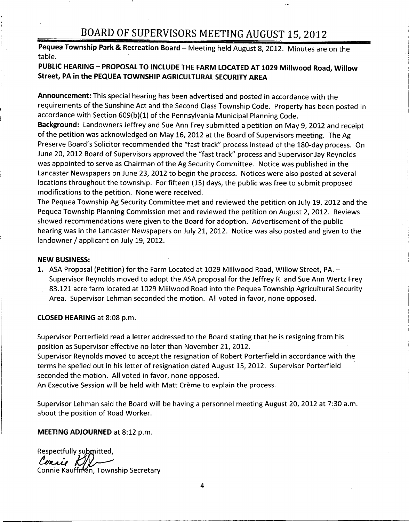# BOARD OF SUPERVISORS MEETING AUGUST 15, 2012

Pequea Township Park & Recreation Board - Meeting held August 8, 2012. Minutes are on the table

## PUBLIC HEARING - PROPOSAL TO INCLUDE THE FARM LOCATED AT 1029 Millwood Road, Willow Street, PA in the PEQUEA TOWNSHIP AGRICULTURAL SECURITY AREA

Announcement: This special hearing has been advertised and posted in accordance with the requirements of the Sunshine Act and the Second Class Township Code. Property has been posted in accordance with Section 609(b)(1) of the Pennsylvania Municipal Planning Code. accordance with Section 609 b10 of the Pennsylvania Municipal Planning Code.<br> **Announcement:** This special hearing has been advertised and posted in accorda<br>
requirements of the Sunshine Act and the Second Class Township C

Background: Landowners Jeffrey and Sue Ann Frey submitted a petition on May 9, 2012 and receipt of the petition was acknowledged on May 16, 2012 at the Board of Supervisors meeting. The Ag accordance with Section 609(b)(1) of the Pennsylvania Municipal Planning Code.<br>**Background:** Landowners Jeffrey and Sue Ann Frey submitted a petition on May 9, 2012 and receipt<br>of the petition was acknowledged on May 16, 2 June 20, 2012 Board of Supervisors approved the "fast track" process and Supervisor Jay Reynolds was appointed to serve as Chairman of the Ag Security Committee. Notice was published in the Lancaster Newspapers on June 23 2012 to begin the process Notices were also posted at several locations throughout the township. For fifteen (15) days, the public was free to submit proposed modifications to the petition. None were received.

The Pequea Township Ag Security Committee met and reviewed the petition on July 19, 2012 and the Pequea Township Planning Commission met and reviewed the petition on August 2, 2012. Reviews showed recommendations were given to the Board for adoption. Advertisement of the public hearing was in the Lancaster Newspapers on July 21, 2012. Notice was also posted and given to the landowner / applicant on July 19, 2012.

## NEW BUSINESS

1. ASA Proposal (Petition) for the Farm Located at 1029 Millwood Road, Willow Street, PA. -Supervisor Reynolds moved to adopt the ASA proposal for the Jeffrey R. and Sue Ann Wertz Frey 83121 acre farm located at <sup>1029</sup> Millwood Road into the Pequea Township Agricultural Security Area. Supervisor Lehman seconded the motion. All voted in favor, none opposed.

CLOSED HEARING at 8:08 p.m.

Supervisor Porterfield read <sup>a</sup> letter addressed to the Board stating that he is resigning from his position as Supervisor effective no later than November 21, 2012.

Supervisor Reynolds moved to accept the resignation of Robert Porterfield in accordance with the terms he spelled out in his letter of resignation dated August 15, 2012. Supervisor Porterfield seconded the motion. All voted in favor, none opposed.

An Executive Session will be held with Matt Crème to explain the process.

Supervisor Lehman said the Board will be having a personnel meeting August 20, 2012 at 7:30 a.m. about the position of Road Worker

MEETING ADJOURNED at 8:12 p.m.

Respectfully submitted, Censis K Connie Kauffman, Township Secretary

4